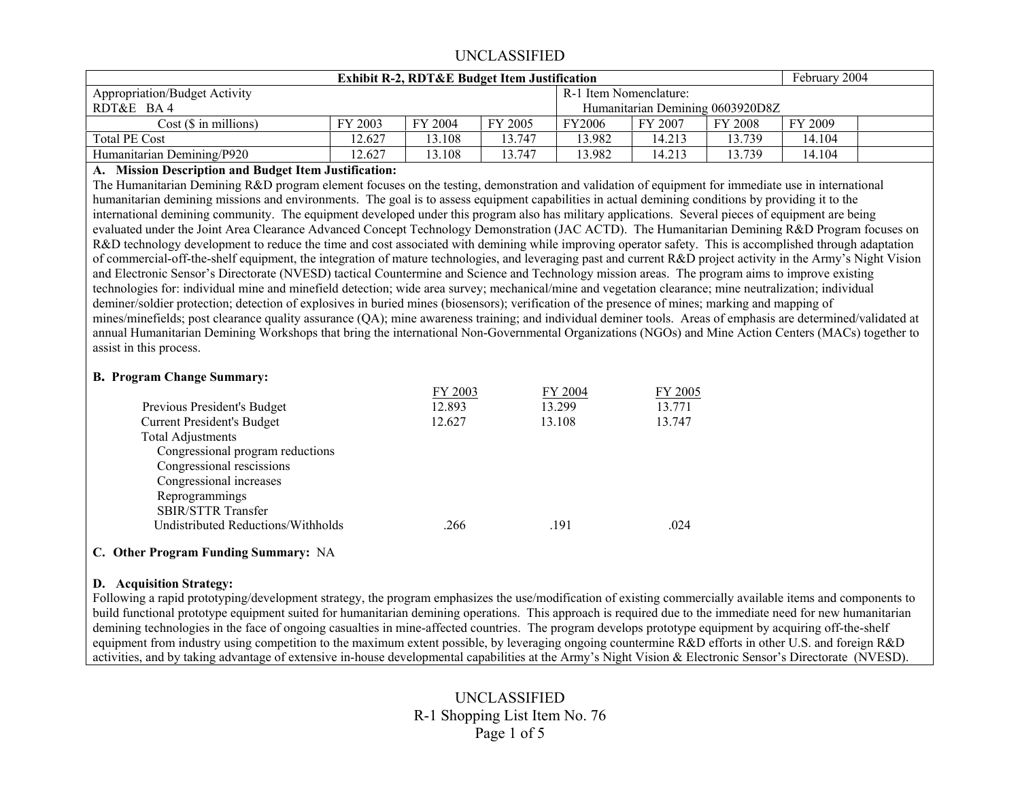|                                                                | February 2004 |         |         |               |                                  |         |         |  |
|----------------------------------------------------------------|---------------|---------|---------|---------------|----------------------------------|---------|---------|--|
| <b>Appropriation/Budget Activity</b><br>R-1 Item Nomenclature: |               |         |         |               |                                  |         |         |  |
| RDT&E BA4                                                      |               |         |         |               | Humanitarian Demining 0603920D8Z |         |         |  |
| Cost(S in millions)                                            | FY 2003       | FY 2004 | FY 2005 | <b>FY2006</b> | FY 2007                          | FY 2008 | FY 2009 |  |
| <b>Total PE Cost</b>                                           | 2.627         | 13.108  | 13.747  | 13.982        | 14.213                           | 13.739  | 14.104  |  |
| Humanitarian Demining/P920                                     | 12.627        | 13.108  | 13.747  | 13.982        | 14.213                           | 13.739  | 14.104  |  |

#### **A. Mission Description and Budget Item Justification:**

The Humanitarian Demining R&D program element focuses on the testing, demonstration and validation of equipment for immediate use in international humanitarian demining missions and environments. The goal is to assess equipment capabilities in actual demining conditions by providing it to the international demining community. The equipment developed under this program also has military applications. Several pieces of equipment are being evaluated under the Joint Area Clearance Advanced Concept Technology Demonstration (JAC ACTD). The Humanitarian Demining R&D Program focuses on R&D technology development to reduce the time and cost associated with demining while improving operator safety. This is accomplished through adaptation of commercial-off-the-shelf equipment, the integration of mature technologies, and leveraging past and current R&D project activity in the Army's Night Vision and Electronic Sensor's Directorate (NVESD) tactical Countermine and Science and Technology mission areas. The program aims to improve existing technologies for: individual mine and minefield detection; wide area survey; mechanical/mine and vegetation clearance; mine neutralization; individual deminer/soldier protection; detection of explosives in buried mines (biosensors); verification of the presence of mines; marking and mapping of mines/minefields; post clearance quality assurance (QA); mine awareness training; and individual deminer tools. Areas of emphasis are determined/validated at annual Humanitarian Demining Workshops that bring the international Non-Governmental Organizations (NGOs) and Mine Action Centers (MACs) together to assist in this process.

#### **B. Program Change Summary:**

|                                    | FY 2003 | FY 2004 | FY 2005 |
|------------------------------------|---------|---------|---------|
| Previous President's Budget        | 12.893  | 13.299  | 13.771  |
| <b>Current President's Budget</b>  | 12.627  | 13.108  | 13.747  |
| <b>Total Adjustments</b>           |         |         |         |
| Congressional program reductions   |         |         |         |
| Congressional rescissions          |         |         |         |
| Congressional increases            |         |         |         |
| Reprogrammings                     |         |         |         |
| <b>SBIR/STTR Transfer</b>          |         |         |         |
| Undistributed Reductions/Withholds | .266    | .191    | .024    |
|                                    |         |         |         |

#### **C. Other Program Funding Summary:** NA

#### **D. Acquisition Strategy:**

Following a rapid prototyping/development strategy, the program emphasizes the use/modification of existing commercially available items and components to build functional prototype equipment suited for humanitarian demining operations. This approach is required due to the immediate need for new humanitarian demining technologies in the face of ongoing casualties in mine-affected countries. The program develops prototype equipment by acquiring off-the-shelf equipment from industry using competition to the maximum extent possible, by leveraging ongoing countermine R&D efforts in other U.S. and foreign R&D activities, and by taking advantage of extensive in-house developmental capabilities at the Army's Night Vision & Electronic Sensor's Directorate (NVESD).

# UNCLASSIFIED R-1 Shopping List Item No. 76 Page 1 of 5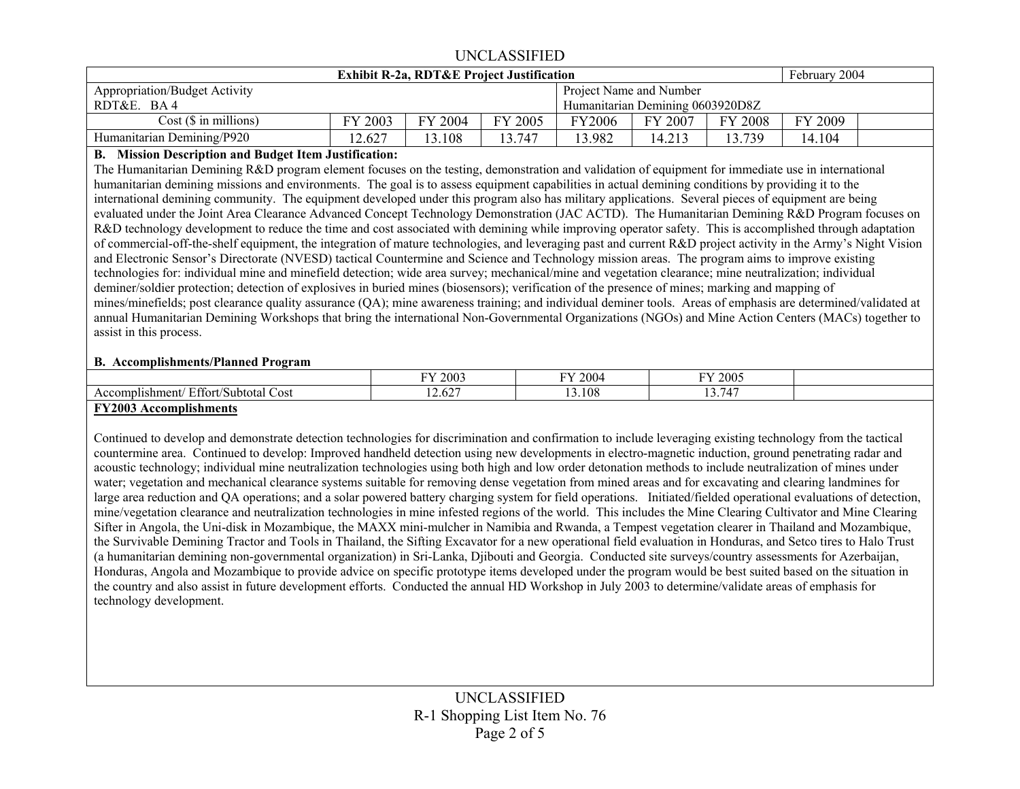|                                                                 | February 2004 |         |         |               |                                  |         |         |  |
|-----------------------------------------------------------------|---------------|---------|---------|---------------|----------------------------------|---------|---------|--|
| Project Name and Number<br><b>Appropriation/Budget Activity</b> |               |         |         |               |                                  |         |         |  |
| RDT&E.<br><b>BA4</b>                                            |               |         |         |               | Humanitarian Demining 0603920D8Z |         |         |  |
| $Cost$ ( $\$\$ in millions)                                     | 2003          | FY 2004 | FY 2005 | <b>FY2006</b> | FY 2007                          | FY 2008 | FY 2009 |  |
| Humanitarian Demining/P920                                      | 12.627        | .108    | 13 747  | 13.982        | 14.213                           | 13.739  | 14.104  |  |

### **B. Mission Description and Budget Item Justification:**

The Humanitarian Demining R&D program element focuses on the testing, demonstration and validation of equipment for immediate use in international humanitarian demining missions and environments. The goal is to assess equipment capabilities in actual demining conditions by providing it to the international demining community. The equipment developed under this program also has military applications. Several pieces of equipment are being evaluated under the Joint Area Clearance Advanced Concept Technology Demonstration (JAC ACTD). The Humanitarian Demining R&D Program focuses on R&D technology development to reduce the time and cost associated with demining while improving operator safety. This is accomplished through adaptation of commercial-off-the-shelf equipment, the integration of mature technologies, and leveraging past and current R&D project activity in the Army's Night Vision and Electronic Sensor's Directorate (NVESD) tactical Countermine and Science and Technology mission areas. The program aims to improve existing technologies for: individual mine and minefield detection; wide area survey; mechanical/mine and vegetation clearance; mine neutralization; individual deminer/soldier protection; detection of explosives in buried mines (biosensors); verification of the presence of mines; marking and mapping of mines/minefields; post clearance quality assurance (QA); mine awareness training; and individual deminer tools. Areas of emphasis are determined/validated at annual Humanitarian Demining Workshops that bring the international Non-Governmental Organizations (NGOs) and Mine Action Centers (MACs) together to assist in this process.

#### **B. Accomplishments/Planned Program**

|                                            | FY 2003               | <sup>v</sup> Y 2004 | 2005<br>$\mathbf{W}$                                    |  |
|--------------------------------------------|-----------------------|---------------------|---------------------------------------------------------|--|
| Effort/Subtotal<br>Accomplishment/<br>Cost | $\sim$ $\sim$<br>2.02 | 3.108               | $\sim$ $\sim$ $\sim$<br>$\overline{\phantom{a}}$<br>. J |  |
| --------<br>--- -                          |                       |                     |                                                         |  |

#### **FY2003 Accomplishments**

Continued to develop and demonstrate detection technologies for discrimination and confirmation to include leveraging existing technology from the tactical countermine area. Continued to develop: Improved handheld detection using new developments in electro-magnetic induction, ground penetrating radar and acoustic technology; individual mine neutralization technologies using both high and low order detonation methods to include neutralization of mines under water; vegetation and mechanical clearance systems suitable for removing dense vegetation from mined areas and for excavating and clearing landmines for large area reduction and QA operations; and a solar powered battery charging system for field operations. Initiated/fielded operational evaluations of detection, mine/vegetation clearance and neutralization technologies in mine infested regions of the world. This includes the Mine Clearing Cultivator and Mine Clearing Sifter in Angola, the Uni-disk in Mozambique, the MAXX mini-mulcher in Namibia and Rwanda, a Tempest vegetation clearer in Thailand and Mozambique, the Survivable Demining Tractor and Tools in Thailand, the Sifting Excavator for a new operational field evaluation in Honduras, and Setco tires to Halo Trust (a humanitarian demining non-governmental organization) in Sri-Lanka, Djibouti and Georgia. Conducted site surveys/country assessments for Azerbaijan, Honduras, Angola and Mozambique to provide advice on specific prototype items developed under the program would be best suited based on the situation in the country and also assist in future development efforts. Conducted the annual HD Workshop in July 2003 to determine/validate areas of emphasis for technology development.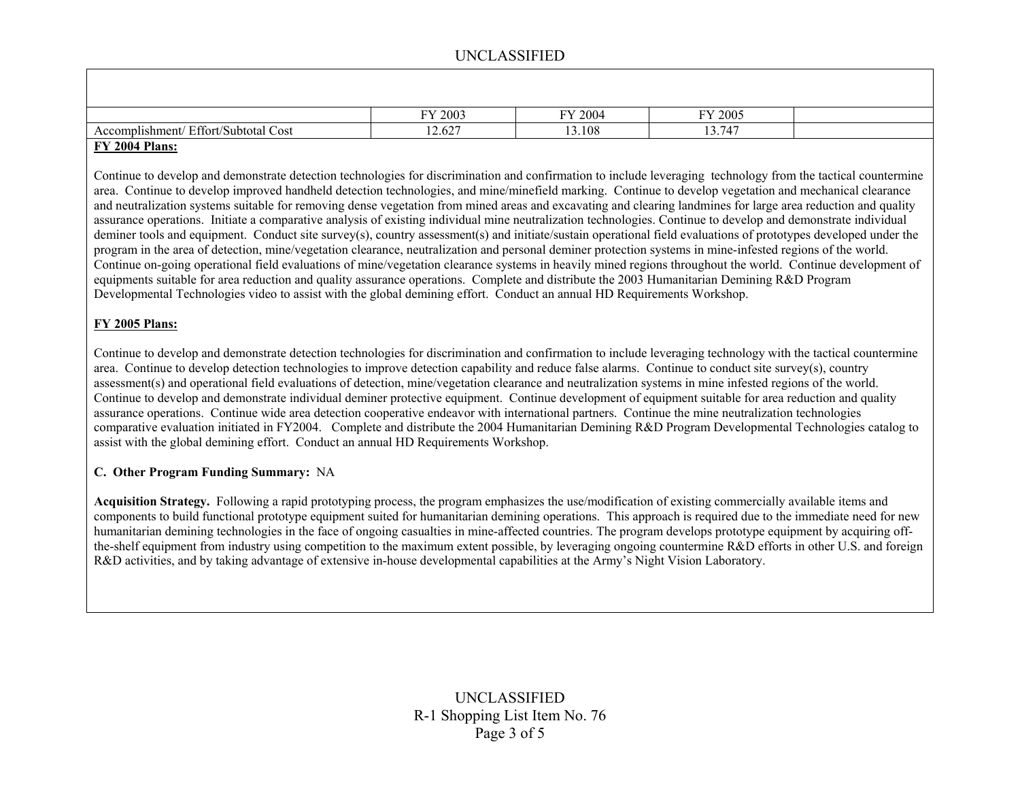|                                                      | FY 2003 | FY 2004                             | FY 2005     |  |
|------------------------------------------------------|---------|-------------------------------------|-------------|--|
| Effort/Subtotal<br>$\sim$<br>Cost<br>Accomplishment/ | 2.627   | .108<br>$\ddot{\phantom{1}}$<br>- - | 12.71<br>74 |  |
| .                                                    |         |                                     |             |  |

### **FY 2004 Plans:**

Continue to develop and demonstrate detection technologies for discrimination and confirmation to include leveraging technology from the tactical countermine area. Continue to develop improved handheld detection technologies, and mine/minefield marking. Continue to develop vegetation and mechanical clearance and neutralization systems suitable for removing dense vegetation from mined areas and excavating and clearing landmines for large area reduction and quality assurance operations. Initiate a comparative analysis of existing individual mine neutralization technologies. Continue to develop and demonstrate individual deminer tools and equipment. Conduct site survey(s), country assessment(s) and initiate/sustain operational field evaluations of prototypes developed under the program in the area of detection, mine/vegetation clearance, neutralization and personal deminer protection systems in mine-infested regions of the world. Continue on-going operational field evaluations of mine/vegetation clearance systems in heavily mined regions throughout the world. Continue development of equipments suitable for area reduction and quality assurance operations. Complete and distribute the 2003 Humanitarian Demining R&D Program Developmental Technologies video to assist with the global demining effort. Conduct an annual HD Requirements Workshop.

### **FY 2005 Plans:**

Continue to develop and demonstrate detection technologies for discrimination and confirmation to include leveraging technology with the tactical countermine area. Continue to develop detection technologies to improve detection capability and reduce false alarms. Continue to conduct site survey(s), country assessment(s) and operational field evaluations of detection, mine/vegetation clearance and neutralization systems in mine infested regions of the world. Continue to develop and demonstrate individual deminer protective equipment. Continue development of equipment suitable for area reduction and quality assurance operations. Continue wide area detection cooperative endeavor with international partners. Continue the mine neutralization technologies comparative evaluation initiated in FY2004. Complete and distribute the 2004 Humanitarian Demining R&D Program Developmental Technologies catalog to assist with the global demining effort. Conduct an annual HD Requirements Workshop.

#### **C. Other Program Funding Summary:** NA

**Acquisition Strategy.** Following a rapid prototyping process, the program emphasizes the use/modification of existing commercially available items and components to build functional prototype equipment suited for humanitarian demining operations. This approach is required due to the immediate need for new humanitarian demining technologies in the face of ongoing casualties in mine-affected countries. The program develops prototype equipment by acquiring offthe-shelf equipment from industry using competition to the maximum extent possible, by leveraging ongoing countermine R&D efforts in other U.S. and foreign R&D activities, and by taking advantage of extensive in-house developmental capabilities at the Army's Night Vision Laboratory.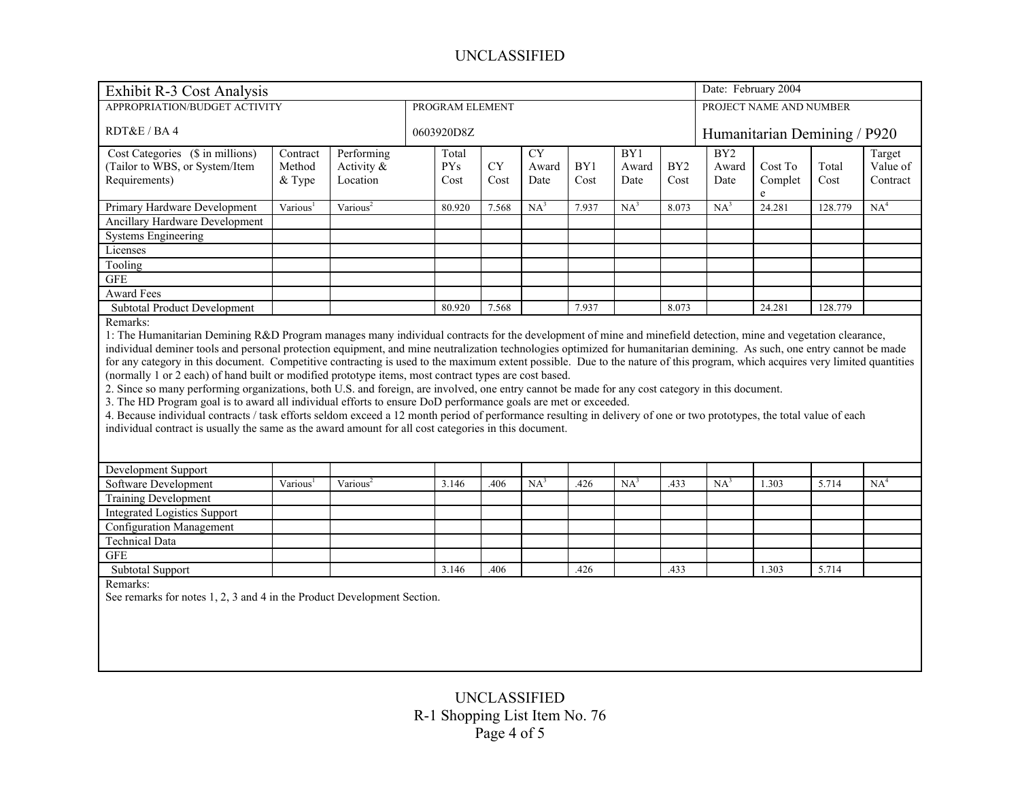| Date: February 2004<br>Exhibit R-3 Cost Analysis                                                                                                                             |                      |                      |  |            |            |                     |                         |                 |                 |                 |                              |         |                 |
|------------------------------------------------------------------------------------------------------------------------------------------------------------------------------|----------------------|----------------------|--|------------|------------|---------------------|-------------------------|-----------------|-----------------|-----------------|------------------------------|---------|-----------------|
| APPROPRIATION/BUDGET ACTIVITY<br>PROGRAM ELEMENT                                                                                                                             |                      |                      |  |            |            |                     | PROJECT NAME AND NUMBER |                 |                 |                 |                              |         |                 |
|                                                                                                                                                                              |                      |                      |  |            |            |                     |                         |                 |                 |                 |                              |         |                 |
| RDT&E / BA 4                                                                                                                                                                 |                      |                      |  | 0603920D8Z |            |                     |                         |                 |                 |                 | Humanitarian Demining / P920 |         |                 |
| Cost Categories (\$ in millions)                                                                                                                                             | Contract             | Performing           |  | Total      |            | $\overline{\rm CY}$ |                         | BY1             |                 | BY <sub>2</sub> |                              |         | Target          |
| (Tailor to WBS, or System/Item                                                                                                                                               | Method               | Activity &           |  | <b>PYs</b> | ${\rm CY}$ | Award               | BY1                     | Award           | BY <sub>2</sub> | Award           | Cost To                      | Total   | Value of        |
| Requirements)                                                                                                                                                                | & Type               | Location             |  | Cost       | Cost       | Date                | Cost                    | Date            | Cost            | Date            | Complet<br>e                 | Cost    | Contract        |
| Primary Hardware Development                                                                                                                                                 | Various <sup>1</sup> | Various <sup>2</sup> |  | 80.920     | 7.568      | $NA^3$              | 7.937                   | NA <sup>3</sup> | 8.073           | $NA^3$          | 24.281                       | 128.779 | NA <sup>4</sup> |
| Ancillary Hardware Development                                                                                                                                               |                      |                      |  |            |            |                     |                         |                 |                 |                 |                              |         |                 |
| <b>Systems Engineering</b>                                                                                                                                                   |                      |                      |  |            |            |                     |                         |                 |                 |                 |                              |         |                 |
| Licenses                                                                                                                                                                     |                      |                      |  |            |            |                     |                         |                 |                 |                 |                              |         |                 |
| Tooling                                                                                                                                                                      |                      |                      |  |            |            |                     |                         |                 |                 |                 |                              |         |                 |
| <b>GFE</b>                                                                                                                                                                   |                      |                      |  |            |            |                     |                         |                 |                 |                 |                              |         |                 |
| Award Fees                                                                                                                                                                   |                      |                      |  |            |            |                     |                         |                 |                 |                 |                              |         |                 |
| Subtotal Product Development                                                                                                                                                 |                      |                      |  | 80.920     | 7.568      |                     | 7.937                   |                 | 8.073           |                 | 24.281                       | 128.779 |                 |
| Remarks:                                                                                                                                                                     |                      |                      |  |            |            |                     |                         |                 |                 |                 |                              |         |                 |
| 1: The Humanitarian Demining R&D Program manages many individual contracts for the development of mine and minefield detection, mine and vegetation clearance,               |                      |                      |  |            |            |                     |                         |                 |                 |                 |                              |         |                 |
| individual deminer tools and personal protection equipment, and mine neutralization technologies optimized for humanitarian demining. As such, one entry cannot be made      |                      |                      |  |            |            |                     |                         |                 |                 |                 |                              |         |                 |
| for any category in this document. Competitive contracting is used to the maximum extent possible. Due to the nature of this program, which acquires very limited quantities |                      |                      |  |            |            |                     |                         |                 |                 |                 |                              |         |                 |
| (normally 1 or 2 each) of hand built or modified prototype items, most contract types are cost based.                                                                        |                      |                      |  |            |            |                     |                         |                 |                 |                 |                              |         |                 |
| 2. Since so many performing organizations, both U.S. and foreign, are involved, one entry cannot be made for any cost category in this document.                             |                      |                      |  |            |            |                     |                         |                 |                 |                 |                              |         |                 |
| 3. The HD Program goal is to award all individual efforts to ensure DoD performance goals are met or exceeded.                                                               |                      |                      |  |            |            |                     |                         |                 |                 |                 |                              |         |                 |
| 4. Because individual contracts / task efforts seldom exceed a 12 month period of performance resulting in delivery of one or two prototypes, the total value of each        |                      |                      |  |            |            |                     |                         |                 |                 |                 |                              |         |                 |
| individual contract is usually the same as the award amount for all cost categories in this document.                                                                        |                      |                      |  |            |            |                     |                         |                 |                 |                 |                              |         |                 |
|                                                                                                                                                                              |                      |                      |  |            |            |                     |                         |                 |                 |                 |                              |         |                 |
| Development Support                                                                                                                                                          |                      |                      |  |            |            |                     |                         |                 |                 |                 |                              |         |                 |
| Software Development                                                                                                                                                         | Various <sup>1</sup> | Various <sup>2</sup> |  | 3.146      | .406       | NA <sup>3</sup>     | .426                    | NA <sup>3</sup> | .433            | NA <sup>3</sup> | 1.303                        | 5.714   | NA <sup>4</sup> |
| <b>Training Development</b>                                                                                                                                                  |                      |                      |  |            |            |                     |                         |                 |                 |                 |                              |         |                 |
| <b>Integrated Logistics Support</b>                                                                                                                                          |                      |                      |  |            |            |                     |                         |                 |                 |                 |                              |         |                 |
| <b>Configuration Management</b>                                                                                                                                              |                      |                      |  |            |            |                     |                         |                 |                 |                 |                              |         |                 |
| <b>Technical Data</b>                                                                                                                                                        |                      |                      |  |            |            |                     |                         |                 |                 |                 |                              |         |                 |
| <b>GFE</b>                                                                                                                                                                   |                      |                      |  |            |            |                     |                         |                 |                 |                 |                              |         |                 |
| <b>Subtotal Support</b>                                                                                                                                                      |                      |                      |  | 3.146      | .406       |                     | .426                    |                 | .433            |                 | 1.303                        | 5.714   |                 |
| Remarks:                                                                                                                                                                     |                      |                      |  |            |            |                     |                         |                 |                 |                 |                              |         |                 |
| See remarks for notes 1, 2, 3 and 4 in the Product Development Section.                                                                                                      |                      |                      |  |            |            |                     |                         |                 |                 |                 |                              |         |                 |
|                                                                                                                                                                              |                      |                      |  |            |            |                     |                         |                 |                 |                 |                              |         |                 |
|                                                                                                                                                                              |                      |                      |  |            |            |                     |                         |                 |                 |                 |                              |         |                 |
|                                                                                                                                                                              |                      |                      |  |            |            |                     |                         |                 |                 |                 |                              |         |                 |
|                                                                                                                                                                              |                      |                      |  |            |            |                     |                         |                 |                 |                 |                              |         |                 |
|                                                                                                                                                                              |                      |                      |  |            |            |                     |                         |                 |                 |                 |                              |         |                 |